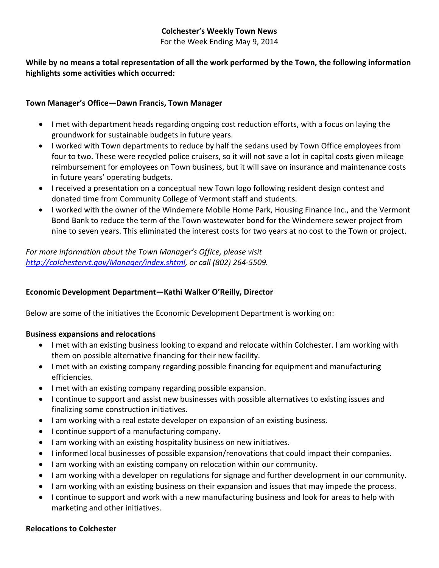### **Colchester's Weekly Town News**

For the Week Ending May 9, 2014

#### **While by no means a total representation of all the work performed by the Town, the following information highlights some activities which occurred:**

#### **Town Manager's Office—Dawn Francis, Town Manager**

- I met with department heads regarding ongoing cost reduction efforts, with a focus on laying the groundwork for sustainable budgets in future years.
- I worked with Town departments to reduce by half the sedans used by Town Office employees from four to two. These were recycled police cruisers, so it will not save a lot in capital costs given mileage reimbursement for employees on Town business, but it will save on insurance and maintenance costs in future years' operating budgets.
- I received a presentation on a conceptual new Town logo following resident design contest and donated time from Community College of Vermont staff and students.
- I worked with the owner of the Windemere Mobile Home Park, Housing Finance Inc., and the Vermont Bond Bank to reduce the term of the Town wastewater bond for the Windemere sewer project from nine to seven years. This eliminated the interest costs for two years at no cost to the Town or project.

*For more information about the Town Manager's Office, please visit [http://colchestervt.gov/Manager/index.shtml,](http://colchestervt.gov/Manager/index.shtml) or call (802) 264-5509.*

#### **Economic Development Department—Kathi Walker O'Reilly, Director**

Below are some of the initiatives the Economic Development Department is working on:

#### **Business expansions and relocations**

- I met with an existing business looking to expand and relocate within Colchester. I am working with them on possible alternative financing for their new facility.
- I met with an existing company regarding possible financing for equipment and manufacturing efficiencies.
- I met with an existing company regarding possible expansion.
- I continue to support and assist new businesses with possible alternatives to existing issues and finalizing some construction initiatives.
- I am working with a real estate developer on expansion of an existing business.
- I continue support of a manufacturing company.
- I am working with an existing hospitality business on new initiatives.
- I informed local businesses of possible expansion/renovations that could impact their companies.
- I am working with an existing company on relocation within our community.
- I am working with a developer on regulations for signage and further development in our community.
- I am working with an existing business on their expansion and issues that may impede the process.
- I continue to support and work with a new manufacturing business and look for areas to help with marketing and other initiatives.

#### **Relocations to Colchester**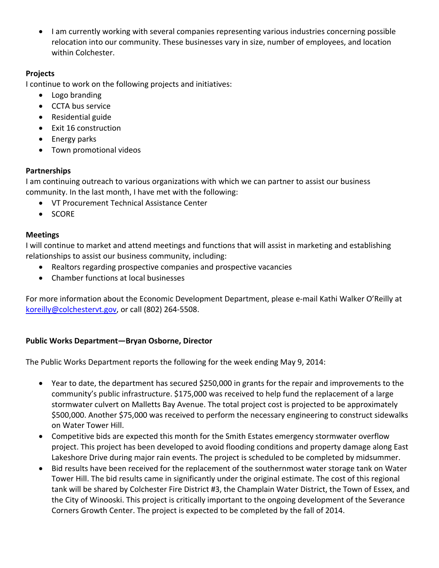• I am currently working with several companies representing various industries concerning possible relocation into our community. These businesses vary in size, number of employees, and location within Colchester.

### **Projects**

I continue to work on the following projects and initiatives:

- Logo branding
- CCTA bus service
- Residential guide
- Exit 16 construction
- Energy parks
- Town promotional videos

# **Partnerships**

I am continuing outreach to various organizations with which we can partner to assist our business community. In the last month, I have met with the following:

- VT Procurement Technical Assistance Center
- SCORE

# **Meetings**

I will continue to market and attend meetings and functions that will assist in marketing and establishing relationships to assist our business community, including:

- Realtors regarding prospective companies and prospective vacancies
- Chamber functions at local businesses

For more information about the Economic Development Department, please e-mail Kathi Walker O'Reilly at [koreilly@colchestervt.gov,](mailto:koreilly@colchestervt.gov) or call (802) 264-5508.

# **Public Works Department—Bryan Osborne, Director**

The Public Works Department reports the following for the week ending May 9, 2014:

- Year to date, the department has secured \$250,000 in grants for the repair and improvements to the community's public infrastructure. \$175,000 was received to help fund the replacement of a large stormwater culvert on Malletts Bay Avenue. The total project cost is projected to be approximately \$500,000. Another \$75,000 was received to perform the necessary engineering to construct sidewalks on Water Tower Hill.
- Competitive bids are expected this month for the Smith Estates emergency stormwater overflow project. This project has been developed to avoid flooding conditions and property damage along East Lakeshore Drive during major rain events. The project is scheduled to be completed by midsummer.
- Bid results have been received for the replacement of the southernmost water storage tank on Water Tower Hill. The bid results came in significantly under the original estimate. The cost of this regional tank will be shared by Colchester Fire District #3, the Champlain Water District, the Town of Essex, and the City of Winooski. This project is critically important to the ongoing development of the Severance Corners Growth Center. The project is expected to be completed by the fall of 2014.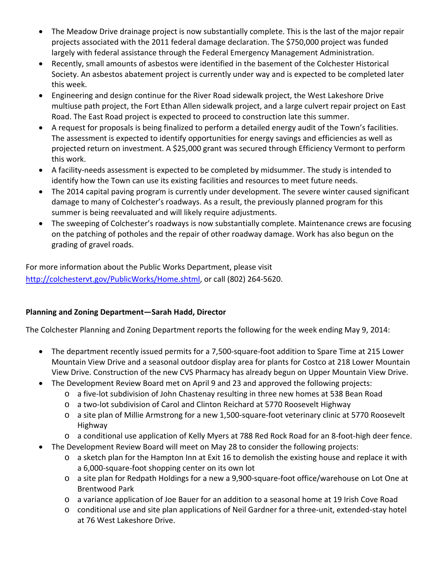- The Meadow Drive drainage project is now substantially complete. This is the last of the major repair projects associated with the 2011 federal damage declaration. The \$750,000 project was funded largely with federal assistance through the Federal Emergency Management Administration.
- Recently, small amounts of asbestos were identified in the basement of the Colchester Historical Society. An asbestos abatement project is currently under way and is expected to be completed later this week.
- Engineering and design continue for the River Road sidewalk project, the West Lakeshore Drive multiuse path project, the Fort Ethan Allen sidewalk project, and a large culvert repair project on East Road. The East Road project is expected to proceed to construction late this summer.
- A request for proposals is being finalized to perform a detailed energy audit of the Town's facilities. The assessment is expected to identify opportunities for energy savings and efficiencies as well as projected return on investment. A \$25,000 grant was secured through Efficiency Vermont to perform this work.
- A facility-needs assessment is expected to be completed by midsummer. The study is intended to identify how the Town can use its existing facilities and resources to meet future needs.
- The 2014 capital paving program is currently under development. The severe winter caused significant damage to many of Colchester's roadways. As a result, the previously planned program for this summer is being reevaluated and will likely require adjustments.
- The sweeping of Colchester's roadways is now substantially complete. Maintenance crews are focusing on the patching of potholes and the repair of other roadway damage. Work has also begun on the grading of gravel roads.

For more information about the Public Works Department, please visit [http://colchestervt.gov/PublicWorks/Home.shtml,](http://colchestervt.gov/PublicWorks/Home.shtml) or call (802) 264-5620.

# **Planning and Zoning Department—Sarah Hadd, Director**

The Colchester Planning and Zoning Department reports the following for the week ending May 9, 2014:

- The department recently issued permits for a 7,500-square-foot addition to Spare Time at 215 Lower Mountain View Drive and a seasonal outdoor display area for plants for Costco at 218 Lower Mountain View Drive. Construction of the new CVS Pharmacy has already begun on Upper Mountain View Drive.
- The Development Review Board met on April 9 and 23 and approved the following projects:
	- o a five-lot subdivision of John Chastenay resulting in three new homes at 538 Bean Road
	- o a two-lot subdivision of Carol and Clinton Reichard at 5770 Roosevelt Highway
	- o a site plan of Millie Armstrong for a new 1,500-square-foot veterinary clinic at 5770 Roosevelt Highway
	- o a conditional use application of Kelly Myers at 788 Red Rock Road for an 8-foot-high deer fence.
- The Development Review Board will meet on May 28 to consider the following projects:
	- o a sketch plan for the Hampton Inn at Exit 16 to demolish the existing house and replace it with a 6,000-square-foot shopping center on its own lot
	- o a site plan for Redpath Holdings for a new a 9,900-square-foot office/warehouse on Lot One at Brentwood Park
	- o a variance application of Joe Bauer for an addition to a seasonal home at 19 Irish Cove Road
	- o conditional use and site plan applications of Neil Gardner for a three-unit, extended-stay hotel at 76 West Lakeshore Drive.